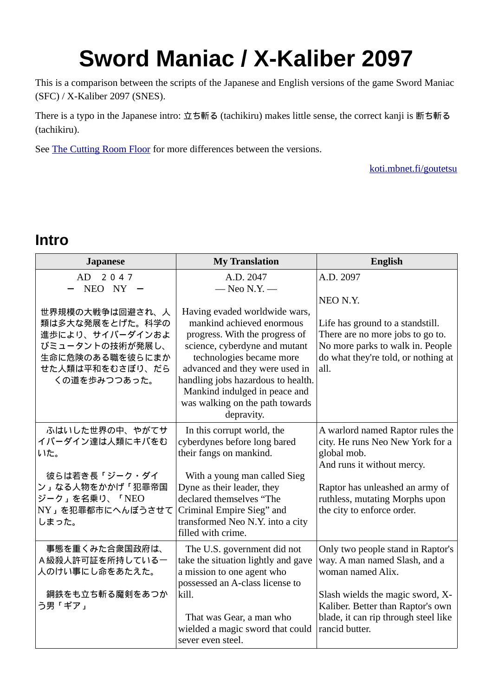# **Sword Maniac / X-Kaliber 2097**

This is a comparison between the scripts of the Japanese and English versions of the game Sword Maniac (SFC) / X-Kaliber 2097 (SNES).

There is a typo in the Japanese intro: 立ち斬る (tachikiru) makes little sense, the correct kanji is 断ち斬る (tachikiru).

See [The Cutting Room Floor](http://tcrf.net/X-Kaliber_2097) for more differences between the versions.

[koti.mbnet.fi/goutetsu](http://koti.mbnet.fi/goutetsu/)

#### **Intro**

| <b>Japanese</b>                                                                                                                                           | <b>My Translation</b>                                                                                                                                                                                                                                                                                                                                | English                                                                                                                                                                                                                    |
|-----------------------------------------------------------------------------------------------------------------------------------------------------------|------------------------------------------------------------------------------------------------------------------------------------------------------------------------------------------------------------------------------------------------------------------------------------------------------------------------------------------------------|----------------------------------------------------------------------------------------------------------------------------------------------------------------------------------------------------------------------------|
| AD 2047<br>$NEO$ $NY -$<br>世界規模の大戦争は回避され、人<br>類は多大な発展をとげた。科学の<br>進歩により、サイバーダインおよ<br>びミュータントの技術が発展し、<br>生命に危険のある職を彼らにまか<br>せた人類は平和をむさぼり、だら<br>くの道を歩みつつあった。 | A.D. 2047<br>$-$ Neo N.Y. $-$<br>Having evaded worldwide wars,<br>mankind achieved enormous<br>progress. With the progress of<br>science, cyberdyne and mutant<br>technologies became more<br>advanced and they were used in<br>handling jobs hazardous to health.<br>Mankind indulged in peace and<br>was walking on the path towards<br>depravity. | A.D. 2097<br>NEO N.Y.<br>Life has ground to a standstill.<br>There are no more jobs to go to.<br>No more parks to walk in. People<br>do what they're told, or nothing at<br>all.                                           |
| ふはいした世界の中、やがてサ<br>イバーダイン達は人類にキバをむ<br>いた。<br>彼らは若き長「ジーク・ダイ<br>ン」なる人物をかかげ「犯罪帝国<br>ジーク」を名乗り、「NEO<br>NY」を犯罪都市にへんぼうさせて<br>しまった。                                | In this corrupt world, the<br>cyberdynes before long bared<br>their fangs on mankind.<br>With a young man called Sieg<br>Dyne as their leader, they<br>declared themselves "The<br>Criminal Empire Sieg" and<br>transformed Neo N.Y. into a city<br>filled with crime.                                                                               | A warlord named Raptor rules the<br>city. He runs Neo New York for a<br>global mob.<br>And runs it without mercy.<br>Raptor has unleashed an army of<br>ruthless, mutating Morphs upon<br>the city to enforce order.       |
| 事態を重くみた合衆国政府は、<br>A級殺人許可証を所持しているー<br>人のけい事にし命をあたえた。<br>鋼鉄をも立ち斬る魔剣をあつか<br>う男「ギア」                                                                           | The U.S. government did not<br>take the situation lightly and gave<br>a mission to one agent who<br>possessed an A-class license to<br>kill.<br>That was Gear, a man who<br>wielded a magic sword that could<br>sever even steel.                                                                                                                    | Only two people stand in Raptor's<br>way. A man named Slash, and a<br>woman named Alix.<br>Slash wields the magic sword, X-<br>Kaliber. Better than Raptor's own<br>blade, it can rip through steel like<br>rancid butter. |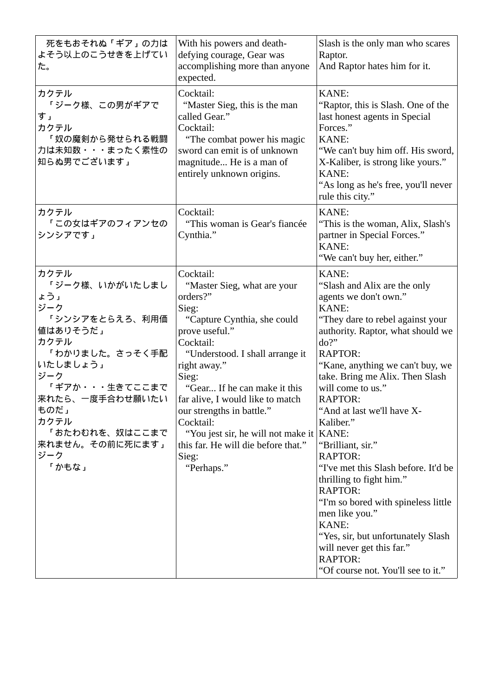| 死をもおそれぬ「ギア」の力は<br>よそう以上のこうせきを上げてい<br>た。                                                                                                                                                                                   | With his powers and death-<br>defying courage, Gear was<br>accomplishing more than anyone<br>expected.                                                                                                                                                                                                                                                                                                            | Slash is the only man who scares<br>Raptor.<br>And Raptor hates him for it.                                                                                                                                                                                                                                                                                                                                                                                                                                                                                                                                                                                          |
|---------------------------------------------------------------------------------------------------------------------------------------------------------------------------------------------------------------------------|-------------------------------------------------------------------------------------------------------------------------------------------------------------------------------------------------------------------------------------------------------------------------------------------------------------------------------------------------------------------------------------------------------------------|----------------------------------------------------------------------------------------------------------------------------------------------------------------------------------------------------------------------------------------------------------------------------------------------------------------------------------------------------------------------------------------------------------------------------------------------------------------------------------------------------------------------------------------------------------------------------------------------------------------------------------------------------------------------|
| カクテル<br>「ジーク様、この男がギアで<br>す」<br>カクテル<br>「奴の魔剣から発せられる戦闘<br>力は未知数・・・まったく素性の<br>知らぬ男でございます」                                                                                                                                   | Cocktail:<br>"Master Sieg, this is the man<br>called Gear."<br>Cocktail:<br>"The combat power his magic<br>sword can emit is of unknown<br>magnitude He is a man of<br>entirely unknown origins.                                                                                                                                                                                                                  | KANE:<br>"Raptor, this is Slash. One of the<br>last honest agents in Special<br>Forces."<br>KANE:<br>"We can't buy him off. His sword,<br>X-Kaliber, is strong like yours."<br>KANE:<br>"As long as he's free, you'll never<br>rule this city."                                                                                                                                                                                                                                                                                                                                                                                                                      |
| カクテル<br>「この女はギアのフィアンセの<br>シンシアです」                                                                                                                                                                                         | Cocktail:<br>"This woman is Gear's fiancée<br>Cynthia."                                                                                                                                                                                                                                                                                                                                                           | KANE:<br>"This is the woman, Alix, Slash's<br>partner in Special Forces."<br><b>KANE:</b><br>"We can't buy her, either."                                                                                                                                                                                                                                                                                                                                                                                                                                                                                                                                             |
| カクテル<br>「ジーク様、いかがいたしまし<br>ょう」<br>ジーク<br>「シンシアをとらえろ、利用価<br>値はありそうだ」<br>カクテル<br>「わかりました。さっそく手配<br>いたしましょう」<br>ジーク<br>「ギアか・・・生きてここまで<br>来れたら、一度手合わせ願いたい<br>ものだ」<br>カクテル<br>「おたわむれを、奴はここまで<br>来れません。その前に死にます」<br>ジーク<br>「かもな」 | Cocktail:<br>"Master Sieg, what are your<br>orders?"<br>Sieg:<br>"Capture Cynthia, she could<br>prove useful."<br>Cocktail:<br>"Understood. I shall arrange it<br>right away."<br>Sieg:<br>"Gear If he can make it this<br>far alive, I would like to match<br>our strengths in battle."<br>Cocktail:<br>"You jest sir, he will not make it   KANE:<br>this far. He will die before that."<br>Sieg:<br>"Perhaps." | KANE:<br>"Slash and Alix are the only<br>agents we don't own."<br>KANE:<br>"They dare to rebel against your<br>authority. Raptor, what should we<br>do?"<br><b>RAPTOR:</b><br>"Kane, anything we can't buy, we<br>take. Bring me Alix. Then Slash<br>will come to us."<br><b>RAPTOR:</b><br>"And at last we'll have X-<br>Kaliber."<br>"Brilliant, sir."<br><b>RAPTOR:</b><br>"I've met this Slash before. It'd be<br>thrilling to fight him."<br><b>RAPTOR:</b><br>"I'm so bored with spineless little<br>men like you."<br><b>KANE:</b><br>"Yes, sir, but unfortunately Slash<br>will never get this far."<br><b>RAPTOR:</b><br>"Of course not. You'll see to it." |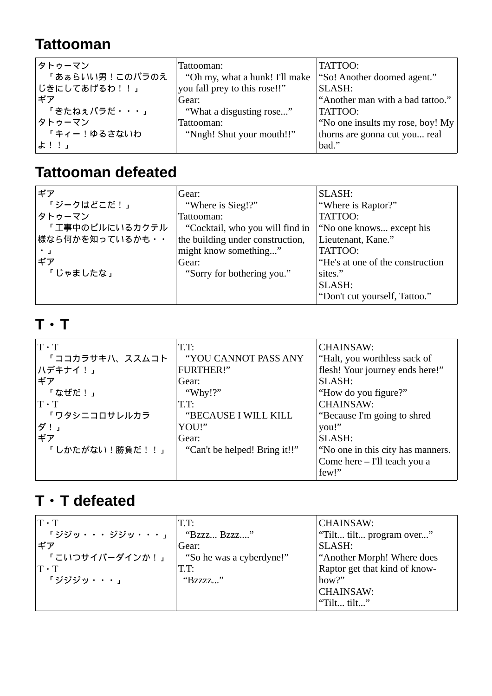#### **Tattooman**

| タトゥーマン         | Tattooman:                     | TATTOO:                          |
|----------------|--------------------------------|----------------------------------|
| 「あぁらいい男!このバラのえ | "Oh my, what a hunk! I'll make | "So! Another doomed agent."      |
| じきにしてあげるわ!!」   | you fall prey to this rose!!"  | SLASH:                           |
| ギア             | Gear:                          | "Another man with a bad tattoo." |
| 「きたねぇバラだ・・・」   | "What a disgusting rose"       | TATTOO:                          |
| タトゥーマン         | Tattooman:                     | "No one insults my rose, boy! My |
| 「キィー!ゆるさないわ    | "Nngh! Shut your mouth!!"      | thorns are gonna cut you real    |
| よ!!」           |                                | bad."                            |

### **Tattooman defeated**

| ギア              | Gear:                            | SLASH:                           |
|-----------------|----------------------------------|----------------------------------|
| 「ジークはどこだ!」      | "Where is Sieg!?"                | "Where is Raptor?"               |
| タトゥーマン          | Tattooman:                       | TATTOO:                          |
| 「工事中のビルにいるカクテル  | "Cocktail, who you will find in  | "No one knows except his         |
| 様なら何かを知っているかも・・ | the building under construction, | Lieutenant, Kane."               |
|                 | might know something"            | TATTOO:                          |
| ギア              | Gear:                            | "He's at one of the construction |
| 「じゃましたな」        | "Sorry for bothering you."       | sites."                          |
|                 |                                  | SLASH:                           |
|                 |                                  | "Don't cut yourself, Tattoo."    |

#### **T**・**T**

| $T \cdot T$                              | T.T:                          | <b>CHAINSAW:</b>                  |
|------------------------------------------|-------------------------------|-----------------------------------|
| 「ココカラサキハ、ススムコト                           | "YOU CANNOT PASS ANY          | "Halt, you worthless sack of      |
| ハデキナイ!」                                  | <b>FURTHER!"</b>              | flesh! Your journey ends here!"   |
| ギア                                       | Gear:                         | SLASH:                            |
| 「なぜだ!」                                   | "Why!?"                       | "How do you figure?"              |
| $\mathbf{T}\boldsymbol{\cdot}\mathbf{T}$ | T.T.                          | <b>CHAINSAW:</b>                  |
| 「ワタシニコロサレルカラ                             | "BECAUSE I WILL KILL          | "Because I'm going to shred       |
| ダ!」                                      | YOU!"                         | you!"                             |
| ギア                                       | Gear:                         | SLASH:                            |
| 「しかたがない!勝負だ!!」                           | "Can't be helped! Bring it!!" | "No one in this city has manners. |
|                                          |                               | Come here - I'll teach you a      |
|                                          |                               | few!"                             |

#### **T**・**T defeated**

| $T \cdot T$           | T.T:                     | <b>CHAINSAW:</b>              |
|-----------------------|--------------------------|-------------------------------|
| <b>「ジジッ・・・ジジッ・・・」</b> | "Bzzz Bzzz"              | "Tilt tilt program over"      |
| ギア                    | Gear:                    | SLASH:                        |
| 「こいつサイバーダインか!」        | "So he was a cyberdyne!" | "Another Morph! Where does    |
| $T \cdot T$           | T.T.                     | Raptor get that kind of know- |
| 「ジジジッ・・・」             | "Bzzzz"                  | how?"                         |
|                       |                          | <b>CHAINSAW:</b>              |
|                       |                          | "Tilt tilt"                   |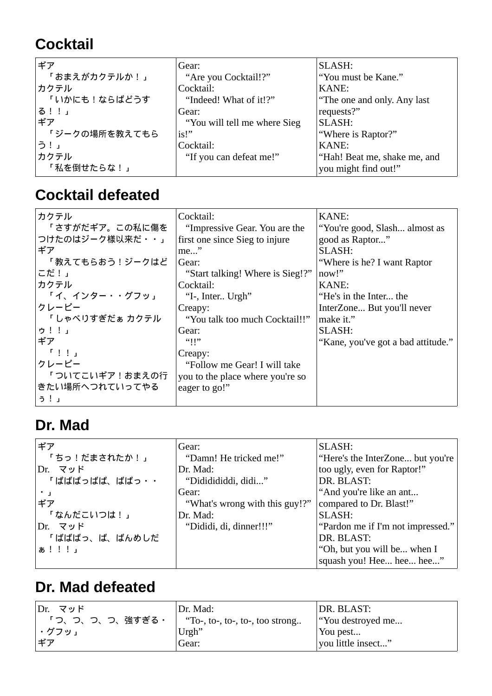# **Cocktail**

| ギア            | Gear:                        | SLASH:                       |
|---------------|------------------------------|------------------------------|
| 「おまえがカクテルか!」  | "Are you Cocktail!?"         | "You must be Kane."          |
| カクテル          | Cocktail:                    | KANE:                        |
| 「いかにも!ならばどうす  | "Indeed! What of it!?"       | "The one and only. Any last  |
| る!!」          | Gear:                        | requests?"                   |
| ギア            | "You will tell me where Sieg | SLASH:                       |
| 「ジークの場所を教えてもら | is!                          | "Where is Raptor?"           |
| う!」           | Cocktail:                    | KANE:                        |
| カクテル          | "If you can defeat me!"      | "Hah! Beat me, shake me, and |
| 「私を倒せたらな!」    |                              | you might find out!"         |

#### **Cocktail defeated**

| カクテル<br>「さすがだギア。この私に傷を<br>つけたのはジーク様以来だ・・」                                 | Cocktail:<br>"Impressive Gear. You are the<br>first one since Sieg to injure | KANE:<br>"You're good, Slash almost as<br>good as Raptor" |
|---------------------------------------------------------------------------|------------------------------------------------------------------------------|-----------------------------------------------------------|
| ギア<br>「教えてもらおう!ジークはど                                                      | $me$ "                                                                       | SLASH:                                                    |
| こだ!」                                                                      | Gear:<br>"Start talking! Where is Sieg!?"                                    | "Where is he? I want Raptor"<br>now!"                     |
| カクテル                                                                      | Cocktail:                                                                    | KANE:                                                     |
| 「イ、インター・・グフッ」                                                             | "I-, Inter Urgh"                                                             | "He's in the Inter the                                    |
| クレーピー                                                                     | Creapy:                                                                      | InterZone But you'll never                                |
| 「しゃべりすぎだぁ カクテル                                                            | "You talk too much Cocktail!!"                                               | make it."                                                 |
| ウ!!」                                                                      | Gear:                                                                        | SLASH:                                                    |
| ギア                                                                        | ``!!"                                                                        | "Kane, you've got a bad attitude."                        |
| $\begin{array}{cc} \text{I} & \text{I} & \text{I} & \text{I} \end{array}$ | Creapy:                                                                      |                                                           |
| クレーピー                                                                     | "Follow me Gear! I will take                                                 |                                                           |
| 「ついてこいギア!おまえの行                                                            | you to the place where you're so                                             |                                                           |
| きたい場所へつれていってやる                                                            | eager to go!"                                                                |                                                           |
| う!」                                                                       |                                                                              |                                                           |

#### **Dr. Mad**

| ギア            | Gear:                          | SLASH:                            |
|---------------|--------------------------------|-----------------------------------|
| 「ちっ!だまされたか!」  | "Damn! He tricked me!"         | "Here's the InterZone but you're  |
| Dr. マッド       | Dr. Mad:                       | too ugly, even for Raptor!"       |
| 「ばばばっばば、ばばっ・・ | "Dididididdi, didi"            | DR. BLAST:                        |
| $\cdot$ 1     | Gear:                          | "And you're like an ant           |
| ギア            | "What's wrong with this guy!?" | compared to Dr. Blast!"           |
| 「なんだこいつは!」    | Dr. Mad:                       | SLASH:                            |
| Dr. マッド       | "Dididi, di, dinner!!!"        | "Pardon me if I'm not impressed." |
| 「ばばばっ、ば、ばんめしだ |                                | DR. BLAST:                        |
| あ!!!」         |                                | "Oh, but you will be when I       |
|               |                                | squash you! Hee hee hee"          |

#### **Dr. Mad defeated**

| Dr. 7vF        | Dr. Mad:                        | DR. BLAST:         |
|----------------|---------------------------------|--------------------|
| 「つ、つ、つ、つ、強すぎる・ | "To-, to-, to-, to-, too strong | "You destroyed me  |
| ゚・グフッ」         | Urgh"                           | You pest           |
| ギア             | Gear:                           | vou little insect" |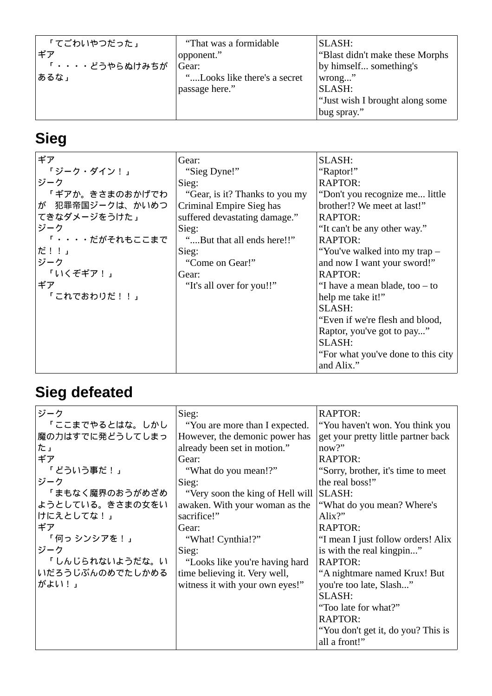# **Sieg**

| ギア                    | Gear:                          | SLASH:                              |
|-----------------------|--------------------------------|-------------------------------------|
| 「ジーク・ダイン!」            | "Sieg Dyne!"                   | "Raptor!"                           |
| ジーク                   | Sieg:                          | RAPTOR:                             |
| 「ギアか。きさまのおかげでわ        | "Gear, is it? Thanks to you my | "Don't you recognize me little      |
| が 犯罪帝国ジークは、かいめつ       | Criminal Empire Sieg has       | brother!? We meet at last!"         |
| てきなダメージをうけた」          | suffered devastating damage."  | RAPTOR:                             |
| ジーク                   | Sieg:                          | "It can't be any other way."        |
| <b>「····だがそれもここまで</b> | "But that all ends here!!"     | RAPTOR:                             |
| だ!!」                  | Sieg:                          | "You've walked into my trap -       |
| ジーク                   | "Come on Gear!"                | and now I want your sword!"         |
| 「いくぞギア!」              | Gear:                          | RAPTOR:                             |
| ギア                    | "It's all over for you!!"      | "I have a mean blade, too $-$ to    |
| 「これでおわりだ!!」           |                                | help me take it!"                   |
|                       |                                | SLASH:                              |
|                       |                                | "Even if we're flesh and blood,     |
|                       |                                | Raptor, you've got to pay"          |
|                       |                                | SLASH:                              |
|                       |                                | "For what you've done to this city" |
|                       |                                | and Alix."                          |

# **Sieg defeated**

| ジーク                                                                                                                             | Sieg:                                                                                                                                                                                                                                   | RAPTOR:                                                                                                                                                                                                                                                                          |
|---------------------------------------------------------------------------------------------------------------------------------|-----------------------------------------------------------------------------------------------------------------------------------------------------------------------------------------------------------------------------------------|----------------------------------------------------------------------------------------------------------------------------------------------------------------------------------------------------------------------------------------------------------------------------------|
| 「ここまでやるとはな。しかし                                                                                                                  | "You are more than I expected.                                                                                                                                                                                                          | "You haven't won. You think you                                                                                                                                                                                                                                                  |
| 魔の力はすでに発どうしてしまっ                                                                                                                 | However, the demonic power has                                                                                                                                                                                                          | get your pretty little partner back                                                                                                                                                                                                                                              |
| た」                                                                                                                              | already been set in motion."                                                                                                                                                                                                            | now?"                                                                                                                                                                                                                                                                            |
| ギア                                                                                                                              | Gear:                                                                                                                                                                                                                                   | RAPTOR:                                                                                                                                                                                                                                                                          |
| 「どういう事だ!」                                                                                                                       | "What do you mean!?"                                                                                                                                                                                                                    | "Sorry, brother, it's time to meet                                                                                                                                                                                                                                               |
| ジーク<br>「まもなく魔界のおうがめざめ<br>ようとしている。きさまの女をい<br>けにえとしてな!」<br>ギア<br>「何っ シンシアを!」<br>ジーク<br>「しんじられないようだな。い<br>いだろうじぶんのめでたしかめる<br>がよい!」 | Sieg:<br>"Very soon the king of Hell will<br>awaken. With your woman as the<br>sacrifice!"<br>Gear:<br>"What! Cynthia!?"<br>Sieg:<br>"Looks like you're having hard<br>time believing it. Very well,<br>witness it with your own eyes!" | the real boss!"<br>SLASH:<br>"What do you mean? Where's<br>Alix?"<br>RAPTOR:<br>"I mean I just follow orders! Alix<br>is with the real kingpin"<br><b>RAPTOR:</b><br>"A nightmare named Krux! But<br>you're too late, Slash"<br>SLASH:<br>"Too late for what?"<br><b>RAPTOR:</b> |
|                                                                                                                                 |                                                                                                                                                                                                                                         | "You don't get it, do you? This is<br>all a front!"                                                                                                                                                                                                                              |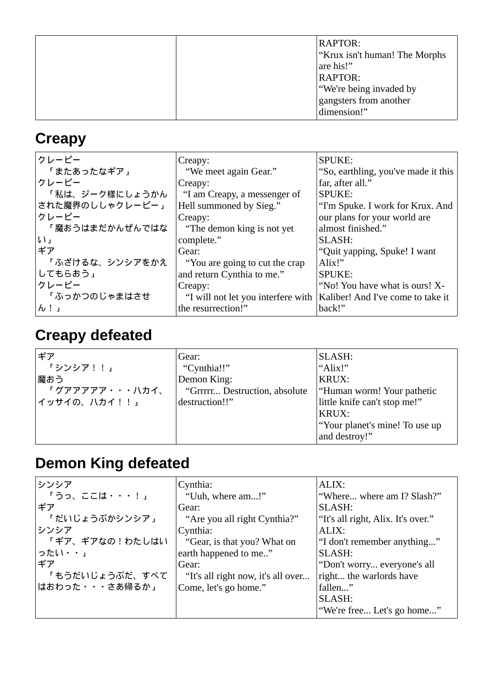|  | <b>RAPTOR:</b><br>"Krux isn't human! The Morphs"<br>are his!"<br><b>RAPTOR:</b><br>"We're being invaded by<br>gangsters from another<br>dimension!" |
|--|-----------------------------------------------------------------------------------------------------------------------------------------------------|
|--|-----------------------------------------------------------------------------------------------------------------------------------------------------|

#### **Creapy**

| クレーピー                     | Creapy:                                | <b>SPUKE:</b>                       |
|---------------------------|----------------------------------------|-------------------------------------|
| 「またあったなギア」                | "We meet again Gear."                  | "So, earthling, you've made it this |
| クレーピー                     | Creapy:                                | far, after all."                    |
| 「私は、ジーク様にしょうかん            | "I am Creapy, a messenger of           | <b>SPUKE:</b>                       |
| された魔界のししゃクレーピー」           | Hell summoned by Sieg."                | "I'm Spuke. I work for Krux. And    |
| クレーピー                     | Creapy:                                | our plans for your world are        |
| 「魔おうはまだかんぜんではな            | "The demon king is not yet             | almost finished."                   |
| $\downarrow$ $\downarrow$ | complete."                             | SLASH:                              |
| ギア                        | Gear:                                  | "Quit yapping, Spuke! I want        |
| 「ふざけるな、シンシアをかえ            | "You are going to cut the crap"        | Alix!"                              |
| してもらおう」                   | and return Cynthia to me."             | <b>SPUKE:</b>                       |
| クレーピー                     | Creapy:                                | "No! You have what is ours! X-      |
| 「ふっかつのじゃまはさせ              | "I will not let you interfere with $ $ | Kaliber! And I've come to take it   |
| h!                        | the resurrection!"                     | back!"                              |

# **Creapy defeated**

| ギア             | Gear:                         | SLASH:                         |
|----------------|-------------------------------|--------------------------------|
| 「シンシア!!」       | "Cynthia!!"                   | "Alix!"                        |
| 魔おう            | Demon King:                   | <b>KRUX:</b>                   |
| 「グアアアアア・・・ハカイ、 | "Grrrrr Destruction, absolute | "Human worm! Your pathetic     |
| イッサイの、ハカイ!!」   | destruction!!"                | little knife can't stop me!"   |
|                |                               | KRUX:                          |
|                |                               | "Your planet's mine! To use up |
|                |                               | and destroy!"                  |

# **Demon King defeated**

| シンシア           | Cynthia:                           | ALIX:                              |
|----------------|------------------------------------|------------------------------------|
| 「うっ、ここは・・・!」   | "Uuh, where am!"                   | "Where where am I? Slash?"         |
| ギア             | Gear:                              | SLASH:                             |
| 「だいじょうぶかシンシア」  | "Are you all right Cynthia?"       | "It's all right, Alix. It's over." |
| シンシア           | Cynthia:                           | ALIX:                              |
| 「ギア、ギアなの!わたしはい | "Gear, is that you? What on        | "I don't remember anything"        |
| ったい・・」         | earth happened to me"              | SLASH:                             |
| ギア             | Gear:                              | "Don't worry everyone's all        |
| 「もうだいじょうぶだ、すべて | "It's all right now, it's all over | right the warlords have            |
| はおわった・・・さあ帰るか」 | Come, let's go home."              | fallen"                            |
|                |                                    | SLASH:                             |
|                |                                    | "We're free Let's go home"         |